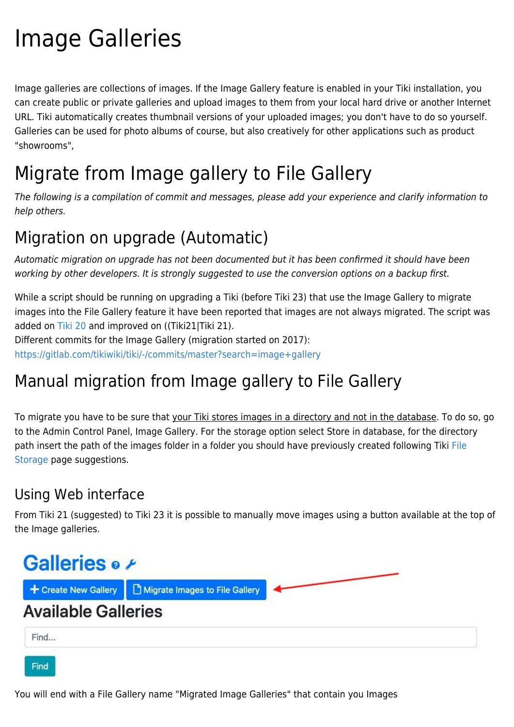# Image Galleries

Image galleries are collections of images. If the Image Gallery feature is enabled in your Tiki installation, you can create public or private galleries and upload images to them from your local hard drive or another Internet URL. Tiki automatically creates thumbnail versions of your uploaded images; you don't have to do so yourself. Galleries can be used for photo albums of course, but also creatively for other applications such as product "showrooms",

# Migrate from Image gallery to File Gallery

The following is a compilation of commit and messages, please add your experience and clarify information to help others.

### Migration on upgrade (Automatic)

Automatic migration on upgrade has not been documented but it has been confirmed it should have been working by other developers. It is strongly suggested to use the conversion options on a backup first.

While a script should be running on upgrading a Tiki (before Tiki 23) that use the Image Gallery to migrate images into the File Gallery feature it have been reported that images are not always migrated. The script was added on [Tiki 20](https://doc.tiki.org/Tiki20) and improved on ((Tiki21|Tiki 21).

Different commits for the Image Gallery (migration started on 2017):

<https://gitlab.com/tikiwiki/tiki/-/commits/master?search=image+gallery>

# Manual migration from Image gallery to File Gallery

To migrate you have to be sure that your Tiki stores images in a directory and not in the database. To do so, go to the Admin Control Panel, Image Gallery. For the storage option select Store in database, for the directory path insert the path of the images folder in a folder you should have previously created following Tiki [File](https://doc.tiki.org/File-Storage) [Storage](https://doc.tiki.org/File-Storage) page suggestions.

#### Using Web interface

From Tiki 21 (suggested) to Tiki 23 it is possible to manually move images using a button available at the top of the Image galleries.



You will end with a File Gallery name "Migrated Image Galleries" that contain you Images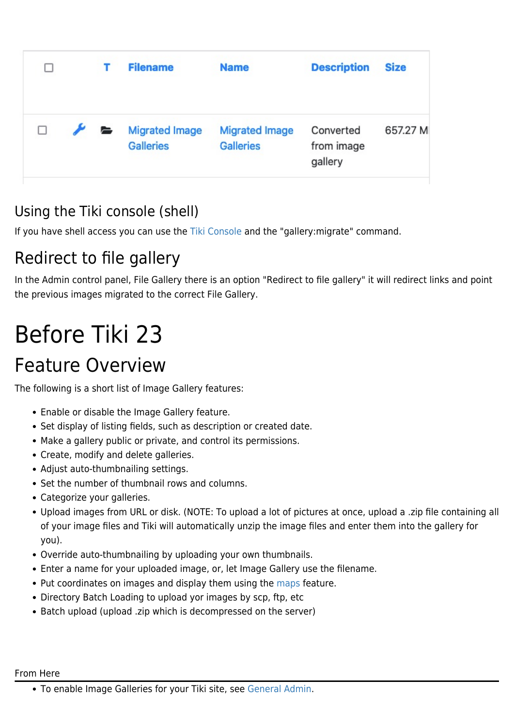| П |               | <b>Filename</b>                           | <b>Name</b>                               | <b>Description</b>                 | <b>Size</b> |
|---|---------------|-------------------------------------------|-------------------------------------------|------------------------------------|-------------|
|   | $\mathcal{F}$ | <b>Migrated Image</b><br><b>Galleries</b> | <b>Migrated Image</b><br><b>Galleries</b> | Converted<br>from image<br>gallery | 657.27 M    |

### Using the Tiki console (shell)

If you have shell access you can use the [Tiki Console](https://doc.tiki.org/Console) and the "gallery:migrate" command.

# Redirect to file gallery

In the Admin control panel, File Gallery there is an option "Redirect to file gallery" it will redirect links and point the previous images migrated to the correct File Gallery.

# Before Tiki 23

# Feature Overview

The following is a short list of Image Gallery features:

- Enable or disable the Image Gallery feature.
- Set display of listing fields, such as description or created date.
- Make a gallery public or private, and control its permissions.
- Create, modify and delete galleries.
- Adjust auto-thumbnailing settings.
- Set the number of thumbnail rows and columns.
- Categorize your galleries.
- Upload images from URL or disk. (NOTE: To upload a lot of pictures at once, upload a .zip file containing all of your image files and Tiki will automatically unzip the image files and enter them into the gallery for you).
- Override auto-thumbnailing by uploading your own thumbnails.
- Enter a name for your uploaded image, or, let Image Gallery use the filename.
- Put coordinates on images and display them using the [maps](https://doc.tiki.org/Maps) feature.
- Directory Batch Loading to upload yor images by scp, ftp, etc
- Batch upload (upload .zip which is decompressed on the server)

#### From Here